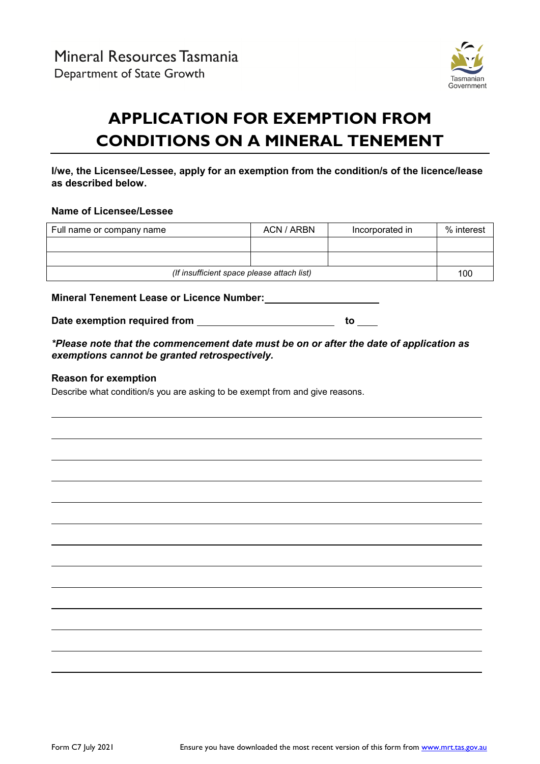

# **APPLICATION FOR EXEMPTION FROM CONDITIONS ON A MINERAL TENEMENT**

# **I/we, the Licensee/Lessee, apply for an exemption from the condition/s of the licence/lease as described below.**

#### **Name of Licensee/Lessee**

| Full name or company name                  | ACN / ARBN | Incorporated in | % interest |
|--------------------------------------------|------------|-----------------|------------|
|                                            |            |                 |            |
|                                            |            |                 |            |
| (If insufficient space please attach list) |            | 100             |            |

**Mineral Tenement Lease or Licence Number:**

Date exemption required from **the set of the set of the set of the set of the set of the set of the set of the set of the set of the set of the set of the set of the set of the set of the set of the set of the set of the s** 

*\*Please note that the commencement date must be on or after the date of application as exemptions cannot be granted retrospectively.*

#### **Reason for exemption**

Describe what condition/s you are asking to be exempt from and give reasons.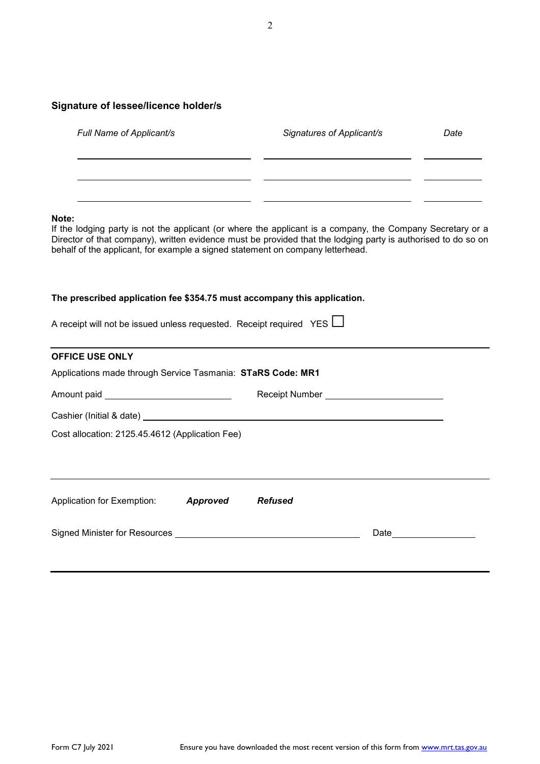# **Signature of lessee/licence holder/s**

| Full Name of Applicant/s | Signatures of Applicant/s | Date |
|--------------------------|---------------------------|------|
|                          |                           |      |
|                          |                           |      |

#### **Note:**

If the lodging party is not the applicant (or where the applicant is a company, the Company Secretary or a Director of that company), written evidence must be provided that the lodging party is authorised to do so on behalf of the applicant, for example a signed statement on company letterhead.

#### **The prescribed application fee \$354.75 must accompany this application.**

| A receipt will not be issued unless requested. Receipt required YES $\Box$ |  |  |
|----------------------------------------------------------------------------|--|--|
|                                                                            |  |  |

| Applications made through Service Tasmania: STaRS Code: MR1 |  |                                                                                                                                                       |
|-------------------------------------------------------------|--|-------------------------------------------------------------------------------------------------------------------------------------------------------|
|                                                             |  |                                                                                                                                                       |
|                                                             |  |                                                                                                                                                       |
| Cost allocation: 2125.45.4612 (Application Fee)             |  |                                                                                                                                                       |
|                                                             |  |                                                                                                                                                       |
|                                                             |  |                                                                                                                                                       |
| Application for Exemption: <b>Approved</b> Refused          |  |                                                                                                                                                       |
|                                                             |  |                                                                                                                                                       |
|                                                             |  | Receipt Number ______________________________<br>Signed Minister for Resources Learning and Contract and Contract and Contract of Signed Minister for |